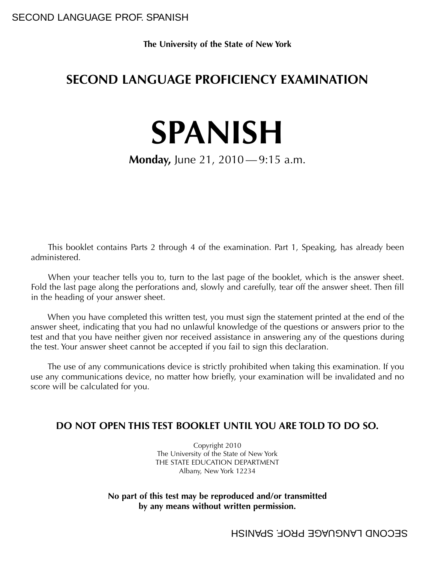**The University of the State of New York**

# **SECOND LANGUAGE PROFICIENCY EXAMINATION**

# **SPANISH**

# **Monday, June 21, 2010** — 9:15 a.m.

This booklet contains Parts 2 through 4 of the examination. Part 1, Speaking, has already been administered.

When your teacher tells you to, turn to the last page of the booklet, which is the answer sheet. Fold the last page along the perforations and, slowly and carefully, tear off the answer sheet. Then fill in the heading of your answer sheet.

When you have completed this written test, you must sign the statement printed at the end of the answer sheet, indicating that you had no unlawful knowledge of the questions or answers prior to the test and that you have neither given nor received assistance in answering any of the questions during the test. Your answer sheet cannot be accepted if you fail to sign this declaration.

The use of any communications device is strictly prohibited when taking this examination. If you use any communications device, no matter how briefly, your examination will be invalidated and no score will be calculated for you.

## **DO NOT OPEN THIS TEST BOOKLET UNTIL YOU ARE TOLD TO DO SO.**

Copyright 2010 The University of the State of New York THE STATE EDUCATION DEPARTMENT Albany, New York 12234

#### **No part of this test may be reproduced and/or transmitted by any means without written permission.**

SECOND LANGUAGE PROF. SPANISH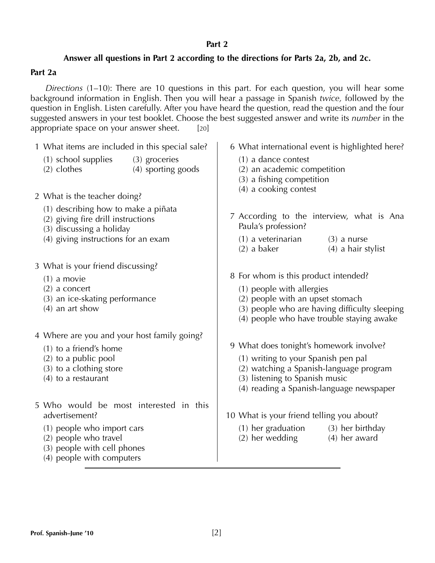#### **Part 2**

## **Answer all questions in Part 2 according to the directions for Parts 2a, 2b, and 2c.**

#### **Part 2a**

*Directions* (1–10): There are 10 questions in this part. For each question, you will hear some background information in English. Then you will hear a passage in Spanish *twice,* followed by the question in English. Listen carefully. After you have heard the question, read the question and the four suggested answers in your test booklet. Choose the best suggested answer and write its *number* in the appropriate space on your answer sheet. [20]

| 1 What items are included in this special sale? |                                                                                                                 | 6 What international event is highlighted here?                                                            |
|-------------------------------------------------|-----------------------------------------------------------------------------------------------------------------|------------------------------------------------------------------------------------------------------------|
|                                                 | (1) school supplies<br>(3) groceries<br>(4) sporting goods<br>$(2)$ clothes                                     | $(1)$ a dance contest<br>(2) an academic competition<br>(3) a fishing competition<br>(4) a cooking contest |
|                                                 | 2 What is the teacher doing?                                                                                    |                                                                                                            |
|                                                 | (1) describing how to make a piñata<br>(2) giving fire drill instructions<br>(3) discussing a holiday           | 7 According to the interview, what is Ana<br>Paula's profession?                                           |
|                                                 | (4) giving instructions for an exam                                                                             | $(1)$ a veterinarian<br>$(3)$ a nurse<br>$(2)$ a baker<br>$(4)$ a hair stylist                             |
|                                                 | 3 What is your friend discussing?<br>$(1)$ a movie<br>$(2)$ a concert<br>(3) an ice-skating performance         | 8 For whom is this product intended?<br>(1) people with allergies<br>(2) people with an upset stomach      |
|                                                 | $(4)$ an art show                                                                                               | (3) people who are having difficulty sleeping<br>(4) people who have trouble staying awake                 |
|                                                 | 4 Where are you and your host family going?                                                                     |                                                                                                            |
|                                                 | $(1)$ to a friend's home                                                                                        | 9 What does tonight's homework involve?                                                                    |
|                                                 | (2) to a public pool                                                                                            | (1) writing to your Spanish pen pal                                                                        |
|                                                 | (3) to a clothing store<br>$(4)$ to a restaurant                                                                | (2) watching a Spanish-language program<br>(3) listening to Spanish music                                  |
|                                                 |                                                                                                                 | (4) reading a Spanish-language newspaper                                                                   |
|                                                 | 5 Who would be most interested in this<br>advertisement?                                                        | 10 What is your friend telling you about?                                                                  |
|                                                 | (1) people who import cars<br>(2) people who travel<br>(3) people with cell phones<br>(4) people with computers | $(1)$ her graduation $(3)$ her birthday<br>(2) her wedding<br>(4) her award                                |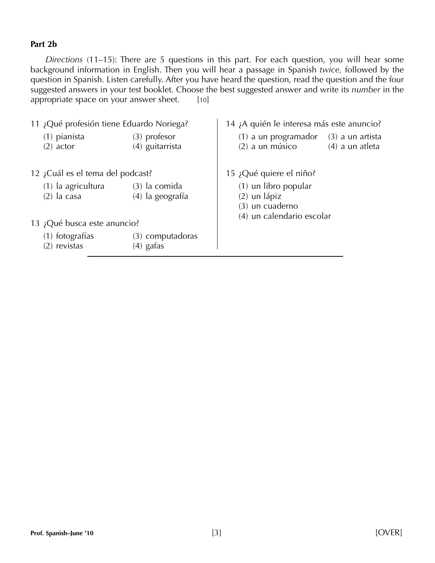#### **Part 2b**

*Directions* (11–15): There are 5 questions in this part. For each question, you will hear some background information in English. Then you will hear a passage in Spanish *twice,* followed by the question in Spanish. Listen carefully. After you have heard the question, read the question and the four suggested answers in your test booklet. Choose the best suggested answer and write its *number* in the appropriate space on your answer sheet.  $[10]$ 

| 11 ¿Qué profesión tiene Eduardo Noriega? |                                  |                                   | 14 ¡A quién le interesa más este anuncio?                                         |  |
|------------------------------------------|----------------------------------|-----------------------------------|-----------------------------------------------------------------------------------|--|
|                                          | $(1)$ pianista<br>$(2)$ actor    | $(3)$ profesor<br>(4) guitarrista | $(1)$ a un programador $(3)$ a un artista<br>$(2)$ a un músico<br>(4) a un atleta |  |
|                                          | 12 ¿Cuál es el tema del podcast? |                                   | 15 ¿Qué quiere el niño?                                                           |  |
|                                          | (1) la agricultura               | $(3)$ la comida                   | (1) un libro popular                                                              |  |
|                                          | $(2)$ la casa                    | (4) la geografía                  | $(2)$ un lápiz                                                                    |  |
|                                          |                                  |                                   | (3) un cuaderno                                                                   |  |
| 13 ¿Qué busca este anuncio?              |                                  |                                   | (4) un calendario escolar                                                         |  |
|                                          | (1) fotografías                  | $(3)$ computadoras                |                                                                                   |  |
|                                          | $(2)$ revistas                   | $(4)$ gafas                       |                                                                                   |  |
|                                          |                                  |                                   |                                                                                   |  |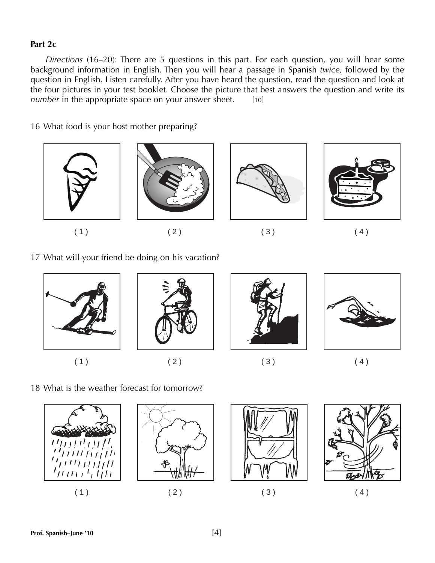#### **Part 2c**

*Directions* (16–20): There are 5 questions in this part. For each question, you will hear some background information in English. Then you will hear a passage in Spanish *twice,* followed by the question in English. Listen carefully. After you have heard the question, read the question and look at the four pictures in your test booklet. Choose the picture that best answers the question and write its *number* in the appropriate space on your answer sheet. [10]

16 What food is your host mother preparing?



17 What will your friend be doing on his vacation?



18 What is the weather forecast for tomorrow?







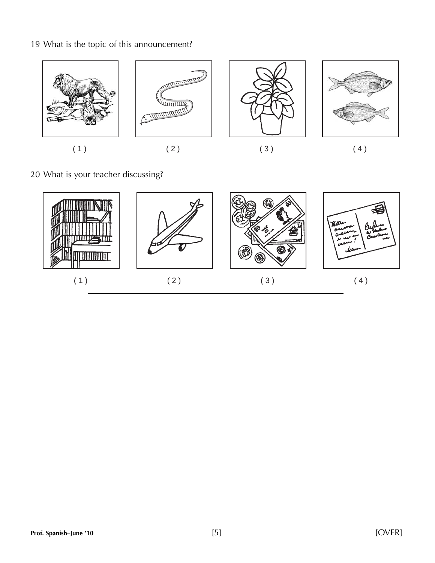# 19 What is the topic of this announcement?



20 What is your teacher discussing?

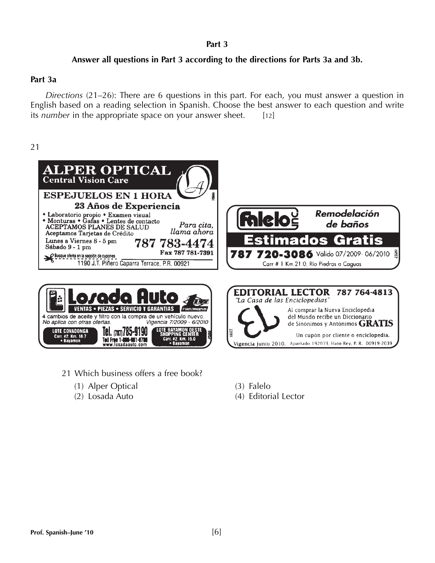#### **Part 3**

## **Answer all questions in Part 3 according to the directions for Parts 3a and 3b.**

#### **Part 3a**

*Directions* (21–26): There are 6 questions in this part. For each, you must answer a question in English based on a reading selection in Spanish. Choose the best answer to each question and write its *number* in the appropriate space on your answer sheet. [12]

21



 $2$  Km  $150$ 

21 Which business offers a free book?

Toll Free 1-800-981-0780<br>www.losadaauto.com

- (1) Alper Optical (3) Falelo
- 

(2) Losada Auto (4) Editorial Lector

Un cupón por cliente o enciclopedia.

Vigencia junio 2010. Apartado 192039, Hato Rey, P. R. 00919-2039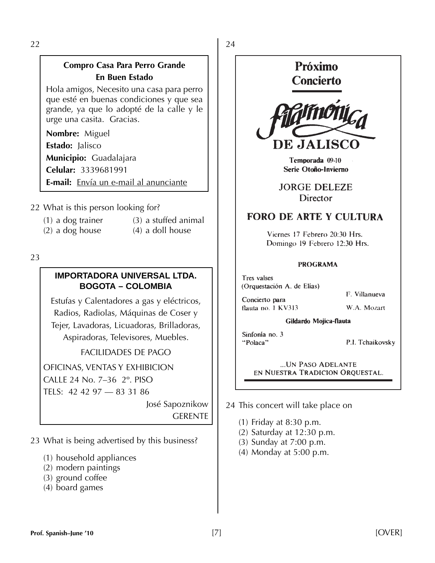22

## **Compro Casa Para Perro Grande En Buen Estado**

Hola amigos, Necesito una casa para perro que esté en buenas condiciones y que sea grande, ya que lo adopté de la calle y le urge una casita. Gracias.

**Nombre:** Miguel **Estado:** Jalisco

**Municipio:** Guadalajara **Celular:** 3339681991

**E-mail:** Envía un e-mail al anunciante

22 What is this person looking for?

- $(1)$  a dog trainer  $(3)$  a stuffed animal
	-
- 
- $(2)$  a dog house  $(4)$  a doll house

23

## **IMPORTADORA UNIVERSAL LTDA. BOGOTA – COLOMBIA**

Estufas y Calentadores a gas y eléctricos, Radios, Radiolas, Máquinas de Coser y Tejer, Lavadoras, Licuadoras, Brilladoras, Aspiradoras, Televisores, Muebles.

FACILIDADES DE PAGO

OFICINAS, VENTAS Y EXHIBICION

CALLE 24 No. 7–36 2º. PISO

TELS: 42 42 97 — 83 31 86

José Sapoznikow **GERENTE** 

23 What is being advertised by this business?

- (1) household appliances
- (2) modern paintings
- (3) ground coffee
- (4) board games

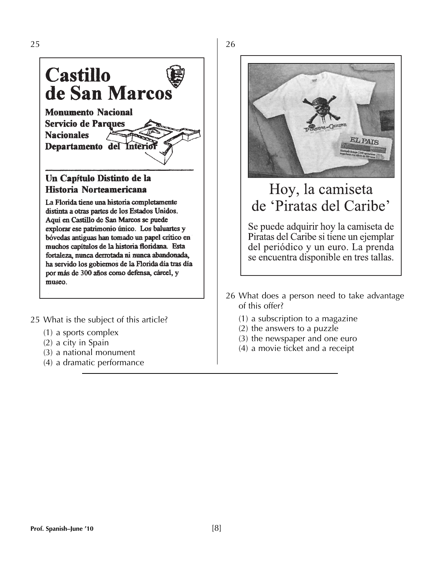

La Florida tiene una historia completamente distinta a otras partes de los Estados Unidos. Aquí en Castillo de San Marcos se puede explorar ese patrimonio único. Los baluartes y bóvedas antiguas han tomado un papel crítico en muchos capítulos de la historia floridana. Esta fortaleza, nunca derrotada ni nunca abandonada, ha servido los gobiernos de la Florida día tras día por más de 300 años como defensa, cárcel, y museo.

- 25 What is the subject of this article?
	- (1) a sports complex
	- (2) a city in Spain
	- (3) a national monument
	- (4) a dramatic performance



# Hoy, la camiseta de 'Piratas del Caribe'

Se puede adquirir hoy la camiseta de Piratas del Caribe si tiene un ejemplar del periódico y un euro. La prenda se encuentra disponible en tres tallas.

- 26 What does a person need to take advantage of this offer?
	- (1) a subscription to a magazine
	- (2) the answers to a puzzle
	- (3) the newspaper and one euro
	- (4) a movie ticket and a receipt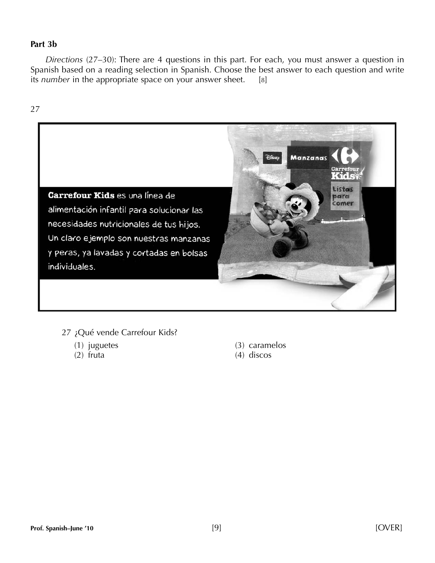#### **Part 3b**

*Directions* (27–30): There are 4 questions in this part. For each, you must answer a question in Spanish based on a reading selection in Spanish. Choose the best answer to each question and write its *number* in the appropriate space on your answer sheet. [8]



- 27 ¿Qué vende Carrefour Kids?
	-
	-
	- (1) juguetes (3) caramelos
	- (2) fruta (4) discos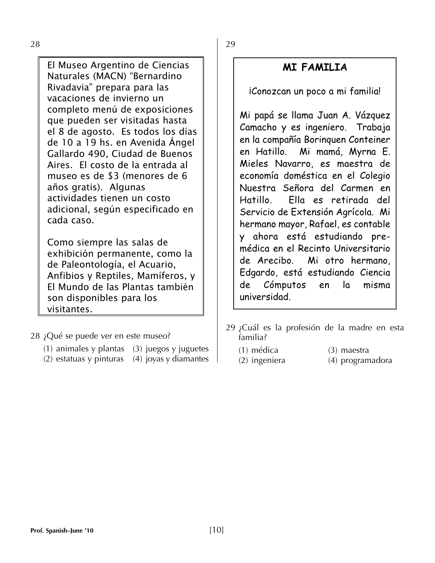28

El Museo Argentino de Ciencias Naturales (MACN) "Bernardino Rivadavia" prepara para las vacaciones de invierno un completo menú de exposiciones que pueden ser visitadas hasta el 8 de agosto. Es todos los días de 10 a 19 hs. en Avenida Ángel Gallardo 490, Ciudad de Buenos Aires. El costo de la entrada al museo es de \$3 (menores de 6 años gratis). Algunas actividades tienen un costo adicional, según especificado en cada caso.

Como siempre las salas de exhibición permanente, como la de Paleontología, el Acuario, Anfibios y Reptiles, Mamíferos, y El Mundo de las Plantas también son disponibles para los visitantes.

28 ¿Qué se puede ver en este museo?

- (1) animales y plantas  $(3)$  juegos y juguetes
- (2) estatuas y pinturas (4) joyas y diamantes

29

# **MI FAMILIA**

¡Conozcan un poco a mi familia!

Mi papá se llama Juan A. Vázquez Camacho y es ingeniero. Trabaja en la compañía Borinquen Conteiner en Hatillo. Mi mamá, Myrna E. Mieles Navarro, es maestra de economía doméstica en el Colegio Nuestra Señora del Carmen en Hatillo. Ella es retirada del Servicio de Extensión Agrícola. Mi hermano mayor, Rafael, es contable y ahora está estudiando premédica en el Recinto Universitario de Arecibo. Mi otro hermano, Edgardo, está estudiando Ciencia de Cómputos en la misma universidad.

- 29 ¿Cuál es la profesión de la madre en esta familia?
	-
	- (1) médica (3) maestra<br>
	(2) ingeniera (4) program (4) programadora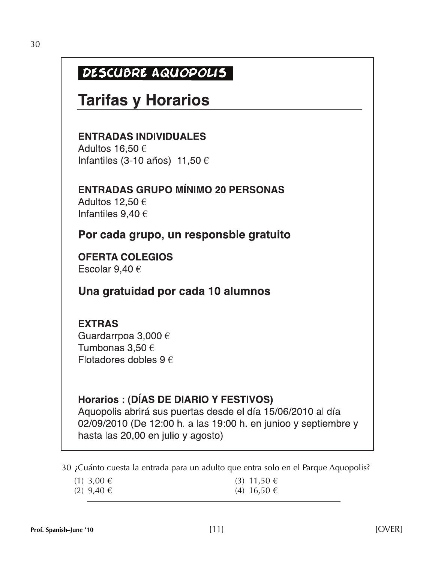# DESCUBRE AQUOPOLIS

# **Tarifas y Horarios**

**ENTRADAS INDIVIDUALES** 

Adultos 16,50  $\in$ Infantiles (3-10 años) 11,50  $\epsilon$ 

**ENTRADAS GRUPO MÍNIMO 20 PERSONAS** Adultos 12,50  $\epsilon$ Infantiles  $9,40 \in$ 

Por cada grupo, un responsble gratuito

**OFERTA COLEGIOS** Escolar 9,40  $\in$ 

# Una gratuidad por cada 10 alumnos

# **EXTRAS**

Guardarrpoa 3,000 € Tumbonas 3,50  $\epsilon$ Flotadores dobles  $9 \in$ 

# Horarios : (DÍAS DE DIARIO Y FESTIVOS)

Aquopolis abrirá sus puertas desde el día 15/06/2010 al día 02/09/2010 (De 12:00 h. a las 19:00 h. en junioo y septiembre y hasta las 20,00 en julio y agosto)

30 ¿Cuánto cuesta la entrada para un adulto que entra solo en el Parque Aquopolis?

| $(1)$ 3,00 € | $(3)$ 11,50 € |
|--------------|---------------|
| $(2)$ 9,40 € | $(4)$ 16,50 € |
|              |               |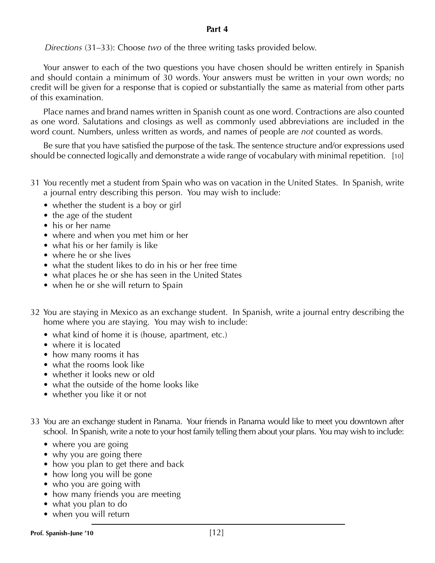#### **Part 4**

*Directions* (31–33): Choose *two* of the three writing tasks provided below.

Your answer to each of the two questions you have chosen should be written entirely in Spanish and should contain a minimum of 30 words. Your answers must be written in your own words; no credit will be given for a response that is copied or substantially the same as material from other parts of this examination.

Place names and brand names written in Spanish count as one word. Contractions are also counted as one word. Salutations and closings as well as commonly used abbreviations are included in the word count. Numbers, unless written as words, and names of people are *not* counted as words.

Be sure that you have satisfied the purpose of the task. The sentence structure and/or expressions used should be connected logically and demonstrate a wide range of vocabulary with minimal repetition. [10]

- 31 You recently met a student from Spain who was on vacation in the United States. In Spanish, write a journal entry describing this person. You may wish to include:
	- whether the student is a boy or girl
	- the age of the student
	- his or her name
	- where and when you met him or her
	- what his or her family is like
	- where he or she lives
	- what the student likes to do in his or her free time
	- what places he or she has seen in the United States
	- when he or she will return to Spain
- 32 You are staying in Mexico as an exchange student. In Spanish, write a journal entry describing the home where you are staying. You may wish to include:
	- what kind of home it is (house, apartment, etc.)
	- where it is located
	- how many rooms it has
	- what the rooms look like
	- whether it looks new or old
	- what the outside of the home looks like
	- whether you like it or not
- 33 You are an exchange student in Panama. Your friends in Panama would like to meet you downtown after school. In Spanish, write a note to your host family telling them about your plans. You may wish to include:
	- where you are going
	- why you are going there
	- how you plan to get there and back
	- how long you will be gone
	- who you are going with
	- how many friends you are meeting
	- what you plan to do
	- when you will return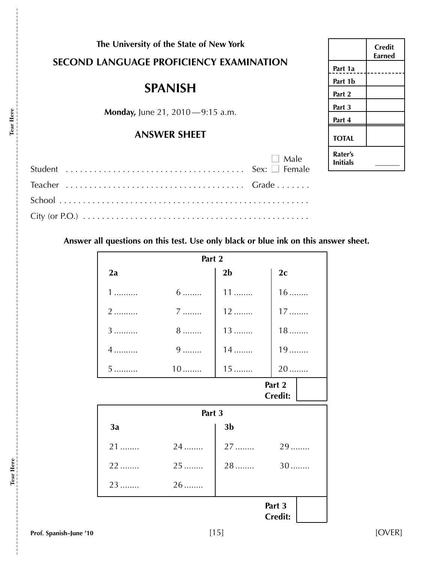|  | The University of the State of New York |                                         |
|--|-----------------------------------------|-----------------------------------------|
|  |                                         | SECOND LANGUAGE PROFICIENCY EXAMINATION |

# **SPANISH**

**Monday, June 21, 2010-9:15 a.m.** 

## **ANSWER SHEET**

| $\Box$ Male |
|-------------|
|             |
|             |
|             |

|                     | Credit<br>Earned |
|---------------------|------------------|
| Part 1a             |                  |
| Part 1b             |                  |
| Part 2              |                  |
| Part 3              |                  |
| Part 4              |                  |
| <b>TOTAL</b>        |                  |
| Rater's<br>Initials |                  |

**Answer all questions on this test. Use only black or blue ink on this answer sheet.**

| Part 2                   |           |                |                          |
|--------------------------|-----------|----------------|--------------------------|
| 2a                       |           | 2 <sub>b</sub> | 2c                       |
| 1                        | $6 \dots$ | $11$           | $16$                     |
| 2                        | $7$       | 12             | $17$                     |
| 3                        | $8$       | $13$           | $18$                     |
| 4                        | $9$       | $14$           | $19$                     |
| 5                        | $10$      | $15$           | 20                       |
| Part 2<br><b>Credit:</b> |           |                |                          |
|                          | Part 3    |                |                          |
| 3a                       |           | 3 <sub>b</sub> |                          |
| 21                       | 24        | 27             | 29                       |
| $22$                     | $25$      | $28$           | $30$                     |
| 23                       | $26$      |                |                          |
|                          |           |                | Part 3<br><b>Credit:</b> |

**Tear Here**

Tear Here

**Tear Here**

Tear Here